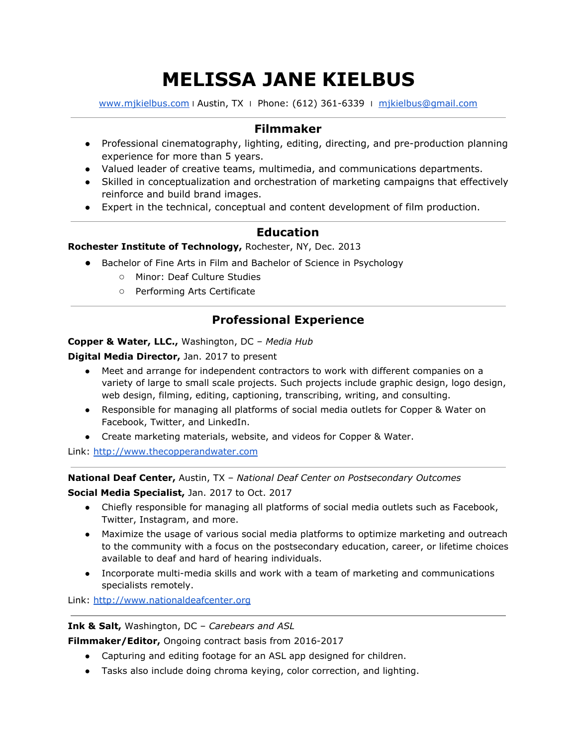# **MELISSA JANE KIELBUS**

[www.mjkielbus.com](http://www.mjkielbus.com/) | Austin, TX | Phone: (612) 361-6339 | [mjkielbus@gmail.com](mailto:mjkielbus@gmail.com)

# **Filmmaker**

- Professional cinematography, lighting, editing, directing, and pre-production planning experience for more than 5 years.
- Valued leader of creative teams, multimedia, and communications departments.
- Skilled in conceptualization and orchestration of marketing campaigns that effectively reinforce and build brand images.
- Expert in the technical, conceptual and content development of film production.

# **Education**

## **Rochester Institute of Technology,** Rochester, NY, Dec. 2013

- Bachelor of Fine Arts in Film and Bachelor of Science in Psychology
	- Minor: Deaf Culture Studies
	- Performing Arts Certificate

# **Professional Experience**

### **Copper & Water, LLC.,** Washington, DC – *Media Hub*

**Digital Media Director,** Jan. 2017 to present

- Meet and arrange for independent contractors to work with different companies on a variety of large to small scale projects. Such projects include graphic design, logo design, web design, filming, editing, captioning, transcribing, writing, and consulting.
- Responsible for managing all platforms of social media outlets for Copper & Water on Facebook, Twitter, and LinkedIn.
- Create marketing materials, website, and videos for Copper & Water.

Link: [http://www.thecopperandwater.com](http://www.thecopperandwater.com/)

**National Deaf Center,** Austin, TX – *National Deaf Center on Postsecondary Outcomes*

**Social Media Specialist,** Jan. 2017 to Oct. 2017

- Chiefly responsible for managing all platforms of social media outlets such as Facebook, Twitter, Instagram, and more.
- Maximize the usage of various social media platforms to optimize marketing and outreach to the community with a focus on the postsecondary education, career, or lifetime choices available to deaf and hard of hearing individuals.
- Incorporate multi-media skills and work with a team of marketing and communications specialists remotely.

Link: [http://www.nationaldeafcenter.org](http://www.nationaldeafcenter.org/)

**Ink & Salt,** Washington, DC – *Carebears and ASL*

**Filmmaker/Editor,** Ongoing contract basis from 2016-2017

- Capturing and editing footage for an ASL app designed for children.
- Tasks also include doing chroma keying, color correction, and lighting.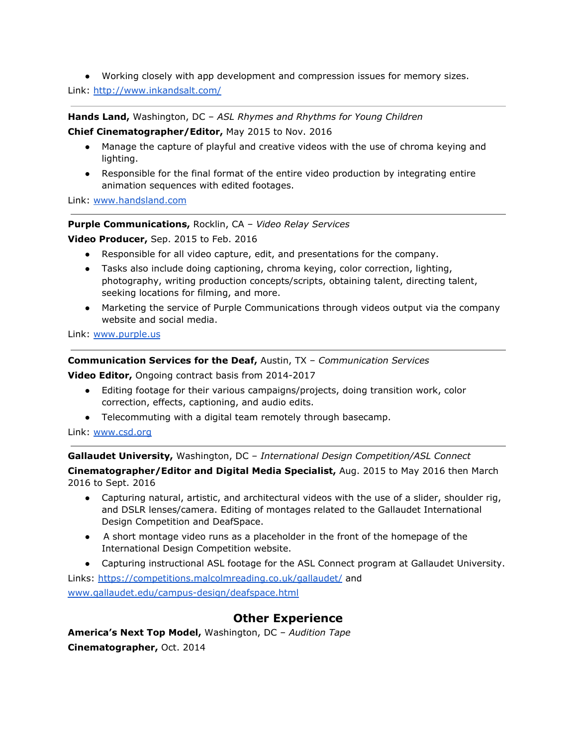● Working closely with app development and compression issues for memory sizes.

Link: <http://www.inkandsalt.com/>

**Hands Land,** Washington, DC – *ASL Rhymes and Rhythms for Young Children* **Chief Cinematographer/Editor,** May 2015 to Nov. 2016

- Manage the capture of playful and creative videos with the use of chroma keying and lighting.
- Responsible for the final format of the entire video production by integrating entire animation sequences with edited footages.

Link: [www.handsland.com](http://www.handsland.com/)

#### **Purple Communications,** Rocklin, CA – *Video Relay Services*

**Video Producer,** Sep. 2015 to Feb. 2016

- Responsible for all video capture, edit, and presentations for the company.
- Tasks also include doing captioning, chroma keying, color correction, lighting, photography, writing production concepts/scripts, obtaining talent, directing talent, seeking locations for filming, and more.
- Marketing the service of Purple Communications through videos output via the company website and social media.

Link: [www.purple.us](http://www.purple.us/)

**Communication Services for the Deaf,** Austin, TX – *Communication Services*

**Video Editor,** Ongoing contract basis from 2014-2017

- Editing footage for their various campaigns/projects, doing transition work, color correction, effects, captioning, and audio edits.
- Telecommuting with a digital team remotely through basecamp.

Link: [www.csd.org](http://www.csd.org/)

**Gallaudet University,** Washington, DC – *International Design Competition/ASL Connect*

**Cinematographer/Editor and Digital Media Specialist,** Aug. 2015 to May 2016 then March 2016 to Sept. 2016

- Capturing natural, artistic, and architectural videos with the use of a slider, shoulder rig, and DSLR lenses/camera. Editing of montages related to the Gallaudet International Design Competition and DeafSpace.
- A short montage video runs as a placeholder in the front of the homepage of the International Design Competition website.
- Capturing instructional ASL footage for the ASL Connect program at Gallaudet University.

Links: <https://competitions.malcolmreading.co.uk/gallaudet/> and [www.gallaudet.edu/campus-design/deafspace.html](http://www.gallaudet.edu/campus-design/deafspace.html)

# **Other Experience**

**America's Next Top Model,** Washington, DC – *Audition Tape* **Cinematographer,** Oct. 2014